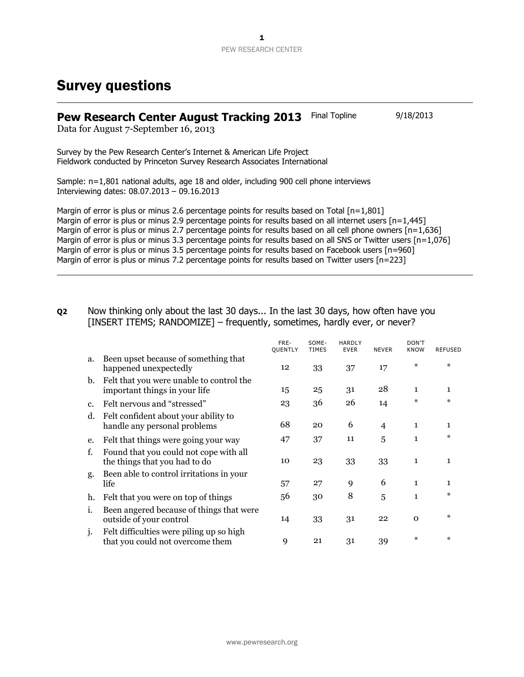## Survey questions

## **Pew Research Center August Tracking 2013** Final Topline 9/18/2013

Data for August 7-September 16, 2013

Survey by the Pew Research Center's Internet & American Life Project Fieldwork conducted by Princeton Survey Research Associates International

Sample: n=1,801 national adults, age 18 and older, including 900 cell phone interviews Interviewing dates: 08.07.2013 – 09.16.2013

Margin of error is plus or minus 2.6 percentage points for results based on Total  $[n=1,801]$ Margin of error is plus or minus 2.9 percentage points for results based on all internet users [n=1,445] Margin of error is plus or minus 2.7 percentage points for results based on all cell phone owners [n=1,636] Margin of error is plus or minus 3.3 percentage points for results based on all SNS or Twitter users [n=1,076] Margin of error is plus or minus 3.5 percentage points for results based on Facebook users [n=960] Margin of error is plus or minus 7.2 percentage points for results based on Twitter users [n=223]

**Q2** Now thinking only about the last 30 days... In the last 30 days, how often have you [INSERT ITEMS; RANDOMIZE] – frequently, sometimes, hardly ever, or never?

|    |                                                                              | FRE-<br><b>OUENTLY</b> | SOME-<br><b>TIMES</b> | <b>HARDLY</b><br><b>EVER</b> | <b>NEVER</b>   | DON'T<br><b>KNOW</b> | <b>REFUSED</b> |
|----|------------------------------------------------------------------------------|------------------------|-----------------------|------------------------------|----------------|----------------------|----------------|
| a. | Been upset because of something that<br>happened unexpectedly                | 12                     | 33                    | 37                           | 17             | *                    | ∗              |
| b. | Felt that you were unable to control the<br>important things in your life    | 15                     | 25                    | 31                           | 28             | $\mathbf{1}$         | $\mathbf{1}$   |
| c. | Felt nervous and "stressed"                                                  | 23                     | 36                    | 26                           | 14             | *                    | ∗              |
| d. | Felt confident about your ability to<br>handle any personal problems         | 68                     | 20                    | 6                            | $\overline{4}$ | $\mathbf{1}$         | $\mathbf{1}$   |
| e. | Felt that things were going your way                                         | 47                     | 37                    | 11                           | 5              | $\mathbf{1}$         | ∗              |
| f. | Found that you could not cope with all<br>the things that you had to do      | 10                     | 23                    | 33                           | 33             | $\mathbf{1}$         | $\mathbf{1}$   |
| g. | Been able to control irritations in your<br>life                             | 57                     | 27                    | 9                            | 6              | $\mathbf{1}$         | $\mathbf{1}$   |
| h. | Felt that you were on top of things                                          | 56                     | 30                    | 8                            | 5              | 1                    | ∗              |
| 1. | Been angered because of things that were<br>outside of your control          | 14                     | 33                    | 31                           | 22             | $\Omega$             | ∗              |
| 1. | Felt difficulties were piling up so high<br>that you could not overcome them | 9                      | 21                    | 31                           | 39             | ∗                    | $\ast$         |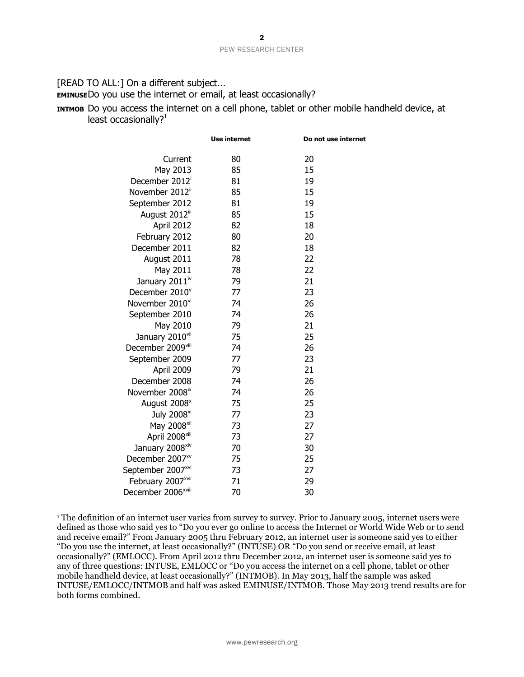[READ TO ALL:] On a different subject...

**EMINUSE**Do you use the internet or email, at least occasionally?

**INTMOB** Do you access the internet on a cell phone, tablet or other mobile handheld device, at least occasionally?<sup>1</sup>

|                                | Use internet | Do not use internet |
|--------------------------------|--------------|---------------------|
| Current                        | 80           | 20                  |
| May 2013                       | 85           | 15                  |
| December 2012 <sup>i</sup>     | 81           | 19                  |
| November 2012"                 | 85           | 15                  |
| September 2012                 | 81           | 19                  |
| August 2012iii                 | 85           | 15                  |
| April 2012                     | 82           | 18                  |
| February 2012                  | 80           | 20                  |
| December 2011                  | 82           | 18                  |
| August 2011                    | 78           | 22                  |
| May 2011                       | 78           | 22                  |
| January 2011 <sup>iv</sup>     | 79           | 21                  |
| December 2010 <sup>v</sup>     | 77           | 23                  |
| November 2010vi                | 74           | 26                  |
| September 2010                 | 74           | 26                  |
| May 2010                       | 79           | 21                  |
| January 2010vii                | 75           | 25                  |
| December 2009viii              | 74           | 26                  |
| September 2009                 | 77           | 23                  |
| April 2009                     | 79           | 21                  |
| December 2008                  | 74           | 26                  |
| November 2008 <sup>ix</sup>    | 74           | 26                  |
| August 2008 <sup>x</sup>       | 75           | 25                  |
| July 2008 <sup>xi</sup>        | 77           | 23                  |
| May 2008 <sup>xii</sup>        | 73           | 27                  |
| April 2008 <sup>xiii</sup>     | 73           | 27                  |
| January 2008xiv                | 70           | 30                  |
| December 2007 <sup>xv</sup>    | 75           | 25                  |
| September 2007*vi              | 73           | 27                  |
| February 2007 <sup>xvii</sup>  | 71           | 29                  |
| December 2006 <sup>xviii</sup> | 70           | 30                  |
|                                |              |                     |

 $\overline{a}$ <sup>1</sup> The definition of an internet user varies from survey to survey. Prior to January 2005, internet users were defined as those who said yes to "Do you ever go online to access the Internet or World Wide Web or to send and receive email?" From January 2005 thru February 2012, an internet user is someone said yes to either "Do you use the internet, at least occasionally?" (INTUSE) OR "Do you send or receive email, at least occasionally?" (EMLOCC). From April 2012 thru December 2012, an internet user is someone said yes to any of three questions: INTUSE, EMLOCC or "Do you access the internet on a cell phone, tablet or other mobile handheld device, at least occasionally?" (INTMOB). In May 2013, half the sample was asked INTUSE/EMLOCC/INTMOB and half was asked EMINUSE/INTMOB. Those May 2013 trend results are for both forms combined.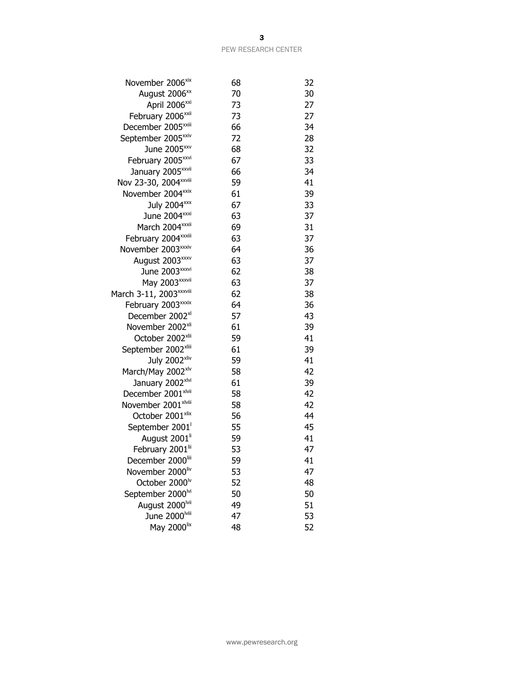| 68 | 32 |
|----|----|
| 70 | 30 |
| 73 | 27 |
| 73 | 27 |
| 66 | 34 |
| 72 | 28 |
| 68 | 32 |
| 67 | 33 |
| 66 | 34 |
| 59 | 41 |
| 61 | 39 |
| 67 | 33 |
| 63 | 37 |
| 69 | 31 |
| 63 | 37 |
| 64 | 36 |
| 63 | 37 |
| 62 | 38 |
| 63 | 37 |
| 62 | 38 |
| 64 | 36 |
| 57 | 43 |
| 61 | 39 |
| 59 | 41 |
| 61 | 39 |
| 59 | 41 |
| 58 | 42 |
| 61 | 39 |
| 58 | 42 |
| 58 | 42 |
| 56 | 44 |
| 55 | 45 |
| 59 | 41 |
| 53 | 47 |
| 59 | 41 |
| 53 | 47 |
| 52 | 48 |
| 50 | 50 |
| 49 | 51 |
| 47 | 53 |
| 48 | 52 |
|    |    |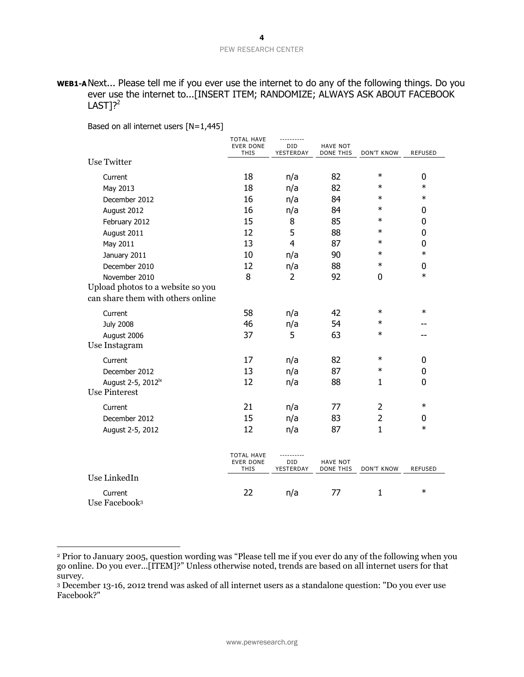## **WEB1-A**Next... Please tell me if you ever use the internet to do any of the following things. Do you ever use the internet to...[INSERT ITEM; RANDOMIZE; ALWAYS ASK ABOUT FACEBOOK  $LAST$ <sup>2</sup>

Based on all internet users [N=1,445]

|                                      | <b>TOTAL HAVE</b><br><b>EVER DONE</b><br><b>THIS</b> | ----------<br>DID<br>YESTERDAY | <b>HAVE NOT</b><br>DONE THIS        | <b>DON'T KNOW</b> | <b>REFUSED</b> |
|--------------------------------------|------------------------------------------------------|--------------------------------|-------------------------------------|-------------------|----------------|
| <b>Use Twitter</b>                   |                                                      |                                |                                     |                   |                |
| Current                              | 18                                                   | n/a                            | 82                                  | $\ast$            | 0              |
| May 2013                             | 18                                                   | n/a                            | 82                                  | $\ast$            | $\ast$         |
| December 2012                        | 16                                                   | n/a                            | 84                                  | $\ast$            | $\ast$         |
| August 2012                          | 16                                                   | n/a                            | 84                                  | $\ast$            | 0              |
| February 2012                        | 15                                                   | 8                              | 85                                  | $\ast$            | 0              |
| August 2011                          | 12                                                   | 5                              | 88                                  | $\ast$            | 0              |
| May 2011                             | 13                                                   | $\overline{4}$                 | 87                                  | $\ast$            | 0              |
| January 2011                         | 10                                                   | n/a                            | 90                                  | $\ast$            | $\ast$         |
| December 2010                        | 12                                                   | n/a                            | 88                                  | $\ast$            | 0              |
| November 2010                        | 8                                                    | 2                              | 92                                  | 0                 | $\ast$         |
| Upload photos to a website so you    |                                                      |                                |                                     |                   |                |
| can share them with others online    |                                                      |                                |                                     |                   |                |
| Current                              | 58                                                   | n/a                            | 42                                  | $\ast$            | $\ast$         |
| <b>July 2008</b>                     | 46                                                   | n/a                            | 54                                  | $\ast$            |                |
| August 2006                          | 37                                                   | 5                              | 63                                  | $\ast$            |                |
| Use Instagram                        |                                                      |                                |                                     |                   |                |
| Current                              | 17                                                   | n/a                            | 82                                  | $\ast$            | 0              |
| December 2012                        | 13                                                   | n/a                            | 87                                  | $\ast$            | 0              |
| August 2-5, 2012 <sup>1x</sup>       | 12                                                   | n/a                            | 88                                  | $\mathbf{1}$      | 0              |
| <b>Use Pinterest</b>                 |                                                      |                                |                                     |                   |                |
| Current                              | 21                                                   | n/a                            | 77                                  | $\overline{2}$    | $\ast$         |
| December 2012                        | 15                                                   | n/a                            | 83                                  | $\overline{2}$    | 0              |
| August 2-5, 2012                     | 12                                                   | n/a                            | 87                                  | $\mathbf{1}$      | $\ast$         |
|                                      |                                                      |                                |                                     |                   |                |
|                                      | <b>TOTAL HAVE</b><br><b>EVER DONE</b><br>THIS        | ---------<br>DID<br>YESTERDAY  | <b>HAVE NOT</b><br><b>DONE THIS</b> | <b>DON'T KNOW</b> | <b>REFUSED</b> |
| Use LinkedIn                         |                                                      |                                |                                     |                   |                |
| Current<br>Use Facebook <sup>3</sup> | 22                                                   | n/a                            | 77                                  | $\mathbf{1}$      | $\ast$         |

<sup>2</sup> Prior to January 2005, question wording was "Please tell me if you ever do any of the following when you go online. Do you ever...[ITEM]?" Unless otherwise noted, trends are based on all internet users for that survey.

<sup>3</sup> December 13-16, 2012 trend was asked of all internet users as a standalone question: "Do you ever use Facebook?"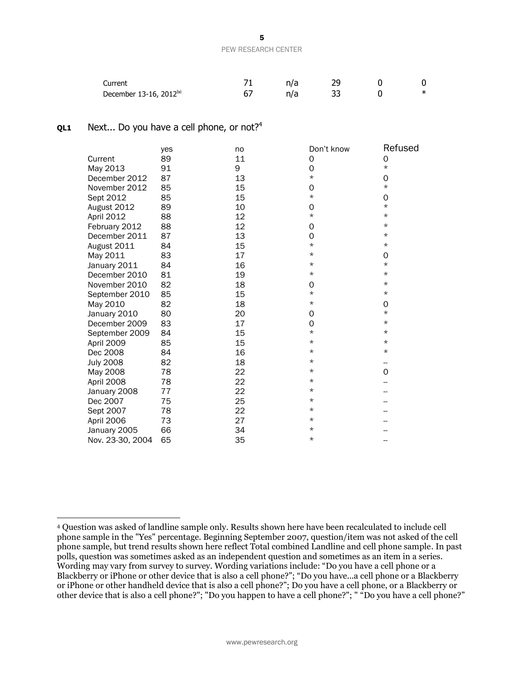| Current                             |  |  |   |
|-------------------------------------|--|--|---|
| December 13-16, 2012 <sup> xi</sup> |  |  | ᅭ |

#### **QL1** Next... Do you have a cell phone, or not?<sup>4</sup>

|                  | yes | no | Don't know | Refused  |
|------------------|-----|----|------------|----------|
| Current          | 89  | 11 | 0          | 0        |
| May 2013         | 91  | 9  | 0          | $^\star$ |
| December 2012    | 87  | 13 | $\star$    | 0        |
| November 2012    | 85  | 15 | 0          | $^\star$ |
| Sept 2012        | 85  | 15 | $\star$    | 0        |
| August 2012      | 89  | 10 | 0          | $^\star$ |
| April 2012       | 88  | 12 | $\star$    | $^\star$ |
| February 2012    | 88  | 12 | 0          | $^\star$ |
| December 2011    | 87  | 13 | 0          | $\star$  |
| August 2011      | 84  | 15 | $^\star$   | $^\star$ |
| May 2011         | 83  | 17 | $\star$    | 0        |
| January 2011     | 84  | 16 | $\star$    | $^\star$ |
| December 2010    | 81  | 19 | $^\star$   | $^\star$ |
| November 2010    | 82  | 18 | 0          | $\star$  |
| September 2010   | 85  | 15 | $\star$    | $^\star$ |
| May 2010         | 82  | 18 | $^\star$   | 0        |
| January 2010     | 80  | 20 | 0          | $^\star$ |
| December 2009    | 83  | 17 | 0          | $^\star$ |
| September 2009   | 84  | 15 | $\star$    | $^\star$ |
| April 2009       | 85  | 15 | $^\star$   | $\star$  |
| Dec 2008         | 84  | 16 | $^\star$   | $^\star$ |
| <b>July 2008</b> | 82  | 18 | $^\star$   | --       |
| May 2008         | 78  | 22 | $^\star$   | 0        |
| April 2008       | 78  | 22 | $^\star$   |          |
| January 2008     | 77  | 22 | $\star$    |          |
| Dec 2007         | 75  | 25 | $^\star$   |          |
| Sept 2007        | 78  | 22 | $\star$    |          |
| April 2006       | 73  | 27 | $\star$    |          |
| January 2005     | 66  | 34 | $\star$    |          |
| Nov. 23-30, 2004 | 65  | 35 | $\star$    |          |

<sup>4</sup> Question was asked of landline sample only. Results shown here have been recalculated to include cell phone sample in the "Yes" percentage. Beginning September 2007, question/item was not asked of the cell phone sample, but trend results shown here reflect Total combined Landline and cell phone sample. In past polls, question was sometimes asked as an independent question and sometimes as an item in a series. Wording may vary from survey to survey. Wording variations include: "Do you have a cell phone or a Blackberry or iPhone or other device that is also a cell phone?"; "Do you have...a cell phone or a Blackberry or iPhone or other handheld device that is also a cell phone?"; Do you have a cell phone, or a Blackberry or other device that is also a cell phone?"; "Do you happen to have a cell phone?"; " "Do you have a cell phone?"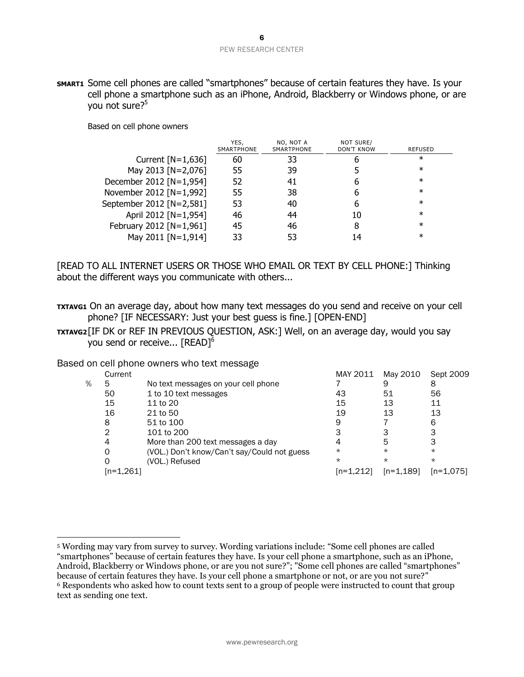**SMART1** Some cell phones are called "smartphones" because of certain features they have. Is your cell phone a smartphone such as an iPhone, Android, Blackberry or Windows phone, or are you not sure? 5

Based on cell phone owners

|                          | YES.<br>SMARTPHONE | NO, NOT A<br><b>SMARTPHONE</b> | NOT SURE/<br><b>DON'T KNOW</b> | <b>REFUSED</b> |
|--------------------------|--------------------|--------------------------------|--------------------------------|----------------|
| Current $[N=1,636]$      | 60                 | 33                             |                                | ∗              |
| May 2013 [N=2,076]       | 55                 | 39                             |                                | ∗              |
| December 2012 [N=1,954]  | 52                 |                                |                                | $^\ast$        |
| November 2012 [N=1,992]  | 55                 | 38                             |                                | $^\star$       |
| September 2012 [N=2,581] | 53                 | 40                             |                                | $^\ast$        |
| April 2012 [N=1,954]     | 46                 | 44                             | 10                             | $\ast$         |
| February 2012 [N=1,961]  | 45                 | 46                             |                                | $\ast$         |
| May 2011 [N=1,914]       | 33                 |                                | 14                             | $^\ast$        |

[READ TO ALL INTERNET USERS OR THOSE WHO EMAIL OR TEXT BY CELL PHONE:] Thinking about the different ways you communicate with others...

- **TXTAVG1** On an average day, about how many text messages do you send and receive on your cell phone? [IF NECESSARY: Just your best guess is fine.] [OPEN-END]
- **TXTAVG2**[IF DK or REF IN PREVIOUS QUESTION, ASK:] Well, on an average day, would you say you send or receive...  ${\rm [READ]^6}$

### Based on cell phone owners who text message

|   | Current   |                                             | MAY 2011  | May 2010    | Sept 2009 |
|---|-----------|---------------------------------------------|-----------|-------------|-----------|
| ℅ | 5         | No text messages on your cell phone         |           | 9           | 8         |
|   | 50        | 1 to 10 text messages                       | 43        | 51          | 56        |
|   | 15        | 11 to 20                                    | 15        | 13          | 11        |
|   | 16        | 21 to 50                                    | 19        | 13          | 13        |
|   | 8         | 51 to 100                                   | 9         |             | 6         |
|   | 2         | 101 to 200                                  |           | 3           |           |
|   | 4         | More than 200 text messages a day           |           | 5           |           |
|   | 0         | (VOL.) Don't know/Can't say/Could not guess | $^\star$  | $\star$     | $\star$   |
|   |           | (VOL.) Refused                              | $^\star$  | $\star$     | $\star$   |
|   | n=1.2611) |                                             | m=1.2121) | $[n=1,189]$ | [n=1,075] |
|   |           |                                             |           |             |           |

 $\overline{a}$ <sup>5</sup> Wording may vary from survey to survey. Wording variations include: "Some cell phones are called "smartphones" because of certain features they have. Is your cell phone a smartphone, such as an iPhone, Android, Blackberry or Windows phone, or are you not sure?"; "Some cell phones are called "smartphones" because of certain features they have. Is your cell phone a smartphone or not, or are you not sure?" <sup>6</sup> Respondents who asked how to count texts sent to a group of people were instructed to count that group text as sending one text.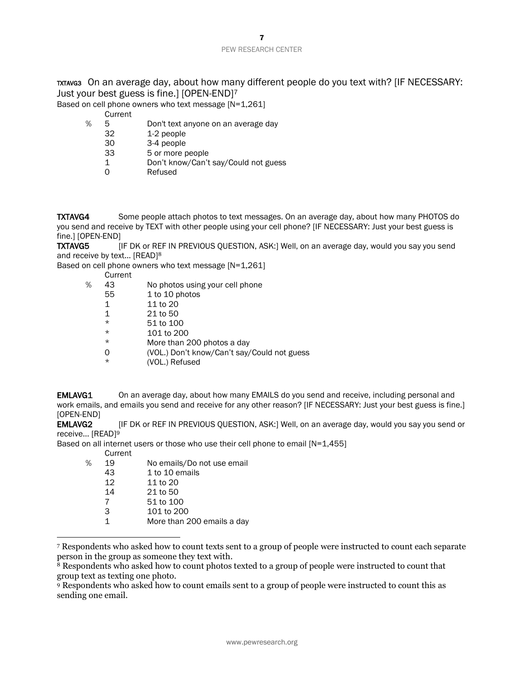## TXTAVG3 On an average day, about how many different people do you text with? [IF NECESSARY: Just your best guess is fine.] [OPEN-END]<sup>7</sup>

Based on cell phone owners who text message [N=1,261]

Current

- % 5 Don't text anyone on an average day
	- 32 1-2 people
	- 30 3-4 people
	- 33 5 or more people
	- 1 Don't know/Can't say/Could not guess
	- 0 Refused

**TXTAVG4** Some people attach photos to text messages. On an average day, about how many PHOTOS do you send and receive by TEXT with other people using your cell phone? [IF NECESSARY: Just your best guess is fine.] [OPEN-END]

TXTAVG5 [IF DK or REF IN PREVIOUS QUESTION, ASK:] Well, on an average day, would you say you send and receive by text... [READ]<sup>8</sup>

Based on cell phone owners who text message [N=1,261]

- Current
- % 43 No photos using your cell phone
	- 55 1 to 10 photos
	- 1 11 to 20
	- 1 21 to 50
	- $*$  51 to 100<br> $*$  101 to 200
	- $*\begin{array}{ccc}\n\star & 101 \text{ to } 200 \\
	\star & \text{More than } 2\n\end{array}$
	- More than 200 photos a day
	- 0 (VOL.) Don't know/Can't say/Could not guess
		- (VOL.) Refused

**EMLAVG1** On an average day, about how many EMAILS do you send and receive, including personal and work emails, and emails you send and receive for any other reason? [IF NECESSARY: Just your best guess is fine.] [OPEN-END]

**EMLAVG2** [IF DK or REF IN PREVIOUS QUESTION, ASK:] Well, on an average day, would you say you send or receive... [READ]<sup>9</sup>

Based on all internet users or those who use their cell phone to email [N=1,455]

Current

| ℅ | 19 | No emails/Do not use email |
|---|----|----------------------------|
|   | 43 | 1 to 10 emails             |
|   | 12 | 11 to 20                   |
|   | 14 | 21 to 50                   |
|   | 7  | 51 to 100                  |
|   | 3  | 101 to 200                 |
|   | 1  | More than 200 emails a day |
|   |    |                            |

 $\overline{a}$ <sup>7</sup> Respondents who asked how to count texts sent to a group of people were instructed to count each separate person in the group as someone they text with.

<sup>&</sup>lt;sup>8</sup> Respondents who asked how to count photos texted to a group of people were instructed to count that group text as texting one photo.

<sup>9</sup> Respondents who asked how to count emails sent to a group of people were instructed to count this as sending one email.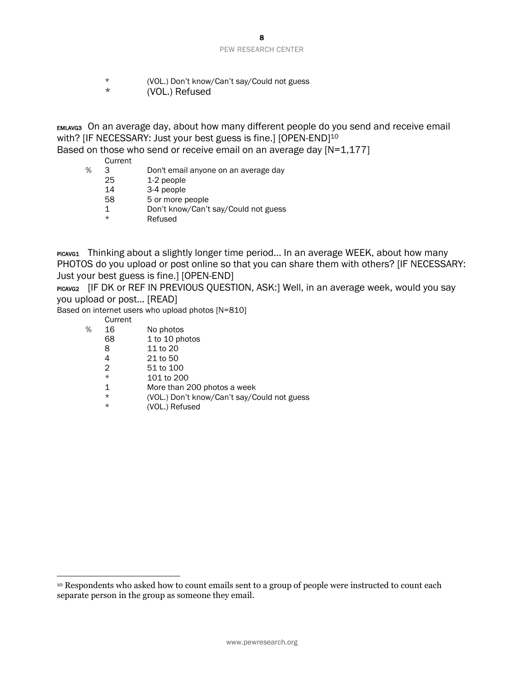- \* (VOL.) Don't know/Can't say/Could not guess
	- (VOL.) Refused

EMLAVG3 On an average day, about how many different people do you send and receive email with? [IF NECESSARY: Just your best guess is fine.] [OPEN-END]<sup>10</sup>

Based on those who send or receive email on an average day [N=1,177]

Current

- % 3 Don't email anyone on an average day
	- 25 1-2 people
	- 14 3-4 people
	- 58 5 or more people
	- 1 Don't know/Can't say/Could not guess
	- \* Refused

PICAVG1 Thinking about a slightly longer time period... In an average WEEK, about how many PHOTOS do you upload or post online so that you can share them with others? [IF NECESSARY: Just your best guess is fine.] [OPEN-END]

PICAVG2 [IF DK OF REF IN PREVIOUS QUESTION, ASK:] Well, in an average week, would you say you upload or post... [READ]

Based on internet users who upload photos [N=810]

Current

- % 16 No photos
	- 68 1 to 10 photos
	- 8 11 to 20<br>4 21 to 50
	- 21 to 50
	- 2 51 to 100
	- \* 101 to 200
	- 1 More than 200 photos a week
	- \* (VOL.) Don't know/Can't say/Could not guess
		- (VOL.) Refused

<sup>10</sup> Respondents who asked how to count emails sent to a group of people were instructed to count each separate person in the group as someone they email.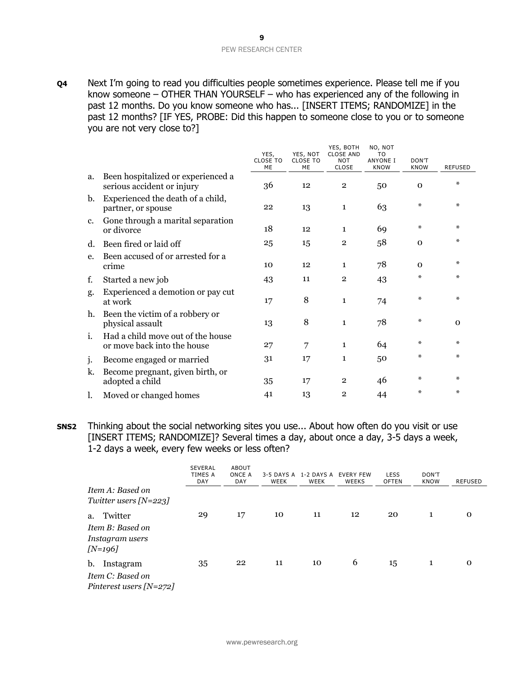**Q4** Next I'm going to read you difficulties people sometimes experience. Please tell me if you know someone – OTHER THAN YOURSELF – who has experienced any of the following in past 12 months. Do you know someone who has... [INSERT ITEMS; RANDOMIZE] in the past 12 months? [IF YES, PROBE: Did this happen to someone close to you or to someone you are not very close to?]

|    |                                                                  | YES,<br><b>CLOSE TO</b><br>ME | YES, NOT<br><b>CLOSE TO</b><br>ME | YES, BOTH<br><b>CLOSE AND</b><br><b>NOT</b><br>CLOSE | NO, NOT<br>T <sub>0</sub><br><b>ANYONE I</b><br><b>KNOW</b> | DON'T<br><b>KNOW</b> | <b>REFUSED</b> |
|----|------------------------------------------------------------------|-------------------------------|-----------------------------------|------------------------------------------------------|-------------------------------------------------------------|----------------------|----------------|
| a. | Been hospitalized or experienced a<br>serious accident or injury | 36                            | 12                                | $\overline{2}$                                       | 50                                                          | $\mathbf 0$          | $\ast$         |
| b. | Experienced the death of a child,<br>partner, or spouse          | 22                            | 13                                | $\mathbf{1}$                                         | 63                                                          | $\ast$               | $\ast$         |
| c. | Gone through a marital separation<br>or divorce                  | 18                            | 12                                | $\mathbf{1}$                                         | 69                                                          | ∗                    | $\ast$         |
| d. | Been fired or laid off                                           | 25                            | 15                                | $\overline{2}$                                       | 58                                                          | $\mathbf 0$          | $\ast$         |
| e. | Been accused of or arrested for a<br>crime                       | 10                            | 12                                | $\mathbf{1}$                                         | 78                                                          | $\Omega$             | $\ast$         |
| f. | Started a new job                                                | 43                            | 11                                | $\overline{2}$                                       | 43                                                          | ∗                    | $\ast$         |
| g. | Experienced a demotion or pay cut<br>at work                     | 17                            | 8                                 | $\mathbf{1}$                                         | 74                                                          | $\star$              | $\ast$         |
| h. | Been the victim of a robbery or<br>physical assault              | 13                            | 8                                 | $\mathbf{1}$                                         | 78                                                          | ∗                    | $\mathbf 0$    |
| i. | Had a child move out of the house<br>or move back into the house | 27                            | 7                                 | $\mathbf{1}$                                         | 64                                                          | ∗                    | $\ast$         |
| j. | Become engaged or married                                        | 31                            | 17                                | $\mathbf{1}$                                         | 50                                                          | ∗                    | $\ast$         |
| k. | Become pregnant, given birth, or<br>adopted a child              | 35                            | 17                                | $\overline{2}$                                       | 46                                                          | $\star$              | $\ast$         |
| l. | Moved or changed homes                                           | 41                            | 13                                | $\overline{2}$                                       | 44                                                          | $\star$              | $\ast$         |

**SNS2** Thinking about the social networking sites you use... About how often do you visit or use [INSERT ITEMS; RANDOMIZE]? Several times a day, about once a day, 3-5 days a week, 1-2 days a week, every few weeks or less often?

|                                                                   | <b>SEVERAL</b><br>TIMES A<br><b>DAY</b> | <b>ABOUT</b><br>ONCE A<br><b>DAY</b> | WEEK | 3-5 DAYS A 1-2 DAYS A EVERY FEW<br>WEEK | <b>WEEKS</b> | <b>LESS</b><br><b>OFTEN</b> | DON'T<br><b>KNOW</b> | REFUSED |
|-------------------------------------------------------------------|-----------------------------------------|--------------------------------------|------|-----------------------------------------|--------------|-----------------------------|----------------------|---------|
| Item A: Based on<br>Twitter users $[N=223]$                       |                                         |                                      |      |                                         |              |                             |                      |         |
| Twitter<br>a.<br>Item B: Based on<br>Instagram users<br>$[N=196]$ | 29                                      | 17                                   | 10   | 11                                      | 12           | 20                          |                      |         |
| b.<br>Instagram<br>Item C: Based on<br>Pinterest users $[N=272]$  | 35                                      | 22                                   | 11   | 10                                      | 6            | 15                          | 1                    | Ω       |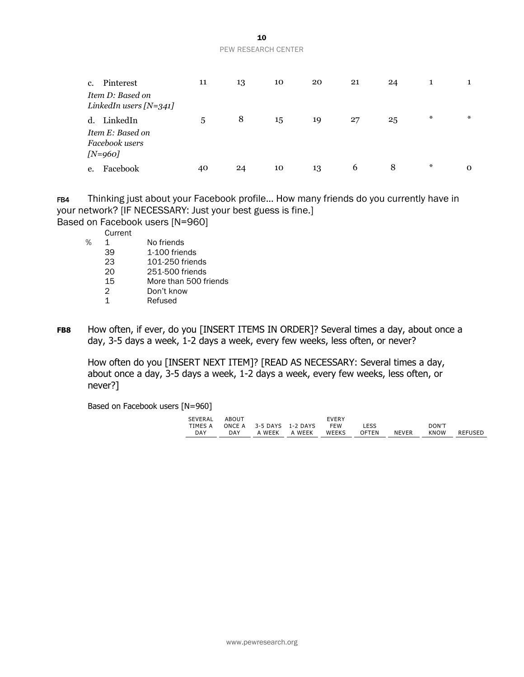| c. | Pinterest<br>Item D: Based on<br>LinkedIn users $[N=341]$      | 11 | 13 | 10 | 20 | 21 | 24 |        |          |
|----|----------------------------------------------------------------|----|----|----|----|----|----|--------|----------|
|    | d. LinkedIn<br>Item E: Based on<br>Facebook users<br>$[N=960]$ | 5  | 8  | 15 | 19 | 27 | 25 | $\ast$ | $\ast$   |
| e. | Facebook                                                       | 40 | 24 | 10 | 13 | 6  | 8  | $\ast$ | $\Omega$ |

FB4 Thinking just about your Facebook profile... How many friends do you currently have in your network? [IF NECESSARY: Just your best guess is fine.]

Based on Facebook users [N=960]

Current

| ℅ |               | No friends            |
|---|---------------|-----------------------|
|   | 39            | 1-100 friends         |
|   | 23            | 101-250 friends       |
|   | 20            | 251-500 friends       |
|   | 15            | More than 500 friends |
|   | $\mathcal{P}$ | Don't know            |
|   | 1             | Refused               |
|   |               |                       |

**FB8** How often, if ever, do you [INSERT ITEMS IN ORDER]? Several times a day, about once a day, 3-5 days a week, 1-2 days a week, every few weeks, less often, or never?

How often do you [INSERT NEXT ITEM]? [READ AS NECESSARY: Several times a day, about once a day, 3-5 days a week, 1-2 days a week, every few weeks, less often, or never?]

Based on Facebook users [N=960]

| SEVERAL    | ABOUT |                          |               | <b>FVFRY</b> |       |              |       |         |
|------------|-------|--------------------------|---------------|--------------|-------|--------------|-------|---------|
|            |       |                          |               |              |       |              |       |         |
| TIMES A    |       | ONCE A 3-5 DAYS 1-2 DAYS |               | FFW          | LESS  |              | DON'T |         |
| <b>DAY</b> | DAY   |                          | A WEEK A WEEK | <b>WEEKS</b> | OFTEN | <b>NEVER</b> | KNOW  | REFUSED |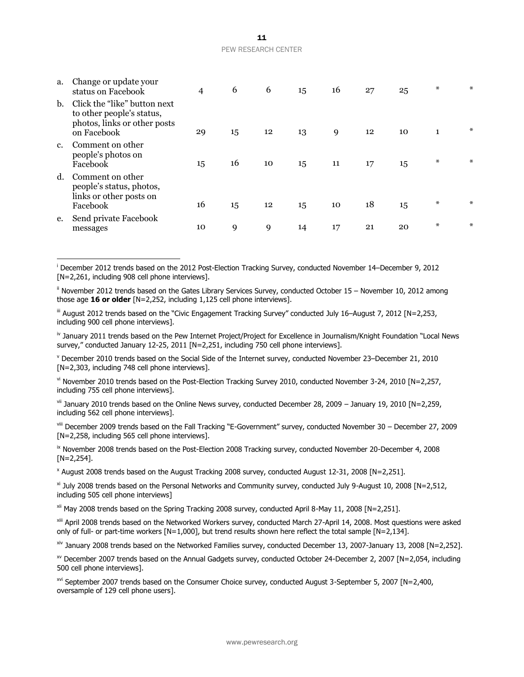| a.          | Change or update your<br>status on Facebook                                                              | 4  | 6  | 6  | 15 | 16 | 27 | 25 | ∗ | ∗      |
|-------------|----------------------------------------------------------------------------------------------------------|----|----|----|----|----|----|----|---|--------|
| b.          | Click the "like" button next<br>to other people's status,<br>photos, links or other posts<br>on Facebook | 29 | 15 | 12 | 13 | 9  | 12 | 10 | 1 | $\ast$ |
| $c_{\cdot}$ | Comment on other<br>people's photos on<br>Facebook                                                       | 15 | 16 | 10 | 15 | 11 | 17 | 15 | ∗ | ∗      |
| d.          | Comment on other<br>people's status, photos,<br>links or other posts on<br>Facebook                      | 16 | 15 | 12 | 15 | 10 | 18 | 15 | ∗ | ∗      |
| e.          | Send private Facebook<br>messages                                                                        | 10 | 9  | 9  | 14 | 17 | 21 | 20 | ∗ | ∗      |

 $\overline{a}$ <sup>i</sup> December 2012 trends based on the 2012 Post-Election Tracking Survey, conducted November 14–December 9, 2012 [N=2,261, including 908 cell phone interviews].

ii November 2012 trends based on the Gates Library Services Survey, conducted October 15 – November 10, 2012 among those age **16 or older** [N=2,252, including 1,125 cell phone interviews].

iii August 2012 trends based on the "Civic Engagement Tracking Survey" conducted July 16–August 7, 2012 [N=2,253, including 900 cell phone interviews].

iv January 2011 trends based on the Pew Internet Project/Project for Excellence in Journalism/Knight Foundation "Local News survey," conducted January 12-25, 2011 [N=2,251, including 750 cell phone interviews].

 $v$  December 2010 trends based on the Social Side of the Internet survey, conducted November 23–December 21, 2010 [N=2,303, including 748 cell phone interviews].

vi November 2010 trends based on the Post-Election Tracking Survey 2010, conducted November 3-24, 2010 [N=2,257, including 755 cell phone interviews].

vii January 2010 trends based on the Online News survey, conducted December 28, 2009 – January 19, 2010 [N=2,259, including 562 cell phone interviews].

viii December 2009 trends based on the Fall Tracking "E-Government" survey, conducted November 30 – December 27, 2009 [N=2,258, including 565 cell phone interviews].

ix November 2008 trends based on the Post-Election 2008 Tracking survey, conducted November 20-December 4, 2008  $[N=2.254]$ .

x August 2008 trends based on the August Tracking 2008 survey, conducted August 12-31, 2008 [N=2,251].

<sup>xi</sup> July 2008 trends based on the Personal Networks and Community survey, conducted July 9-August 10, 2008 [N=2.512, including 505 cell phone interviews]

xii May 2008 trends based on the Spring Tracking 2008 survey, conducted April 8-May 11, 2008 [N=2,251].

xiii April 2008 trends based on the Networked Workers survey, conducted March 27-April 14, 2008. Most questions were asked only of full- or part-time workers [N=1,000], but trend results shown here reflect the total sample [N=2,134].

xiv January 2008 trends based on the Networked Families survey, conducted December 13, 2007-January 13, 2008 [N=2,252].

 $x<sup>v</sup>$  December 2007 trends based on the Annual Gadgets survey, conducted October 24-December 2, 2007 [N=2,054, including 500 cell phone interviews].

xvi September 2007 trends based on the Consumer Choice survey, conducted August 3-September 5, 2007 [N=2,400, oversample of 129 cell phone users].

a. Change or update your

www.pewresearch.org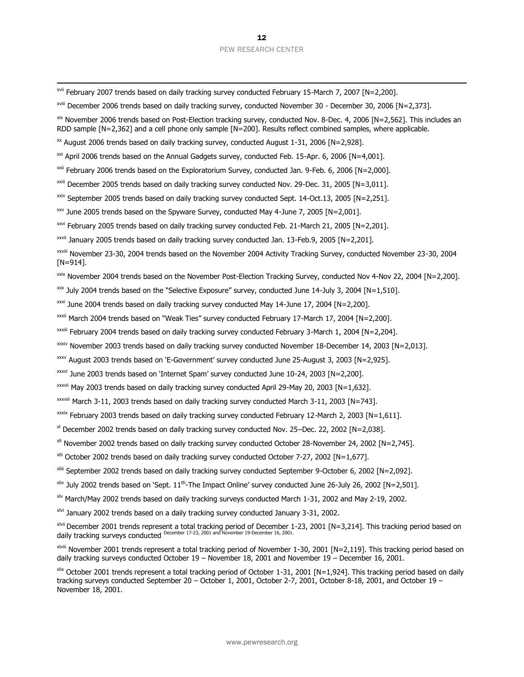xvii February 2007 trends based on daily tracking survey conducted February 15-March 7, 2007 [N=2,200].

xviii December 2006 trends based on daily tracking survey, conducted November 30 - December 30, 2006 [N=2,373].

xix November 2006 trends based on Post-Election tracking survey, conducted Nov. 8-Dec. 4, 2006 [N=2,562]. This includes an RDD sample [N=2,362] and a cell phone only sample [N=200]. Results reflect combined samples, where applicable.

 $\frac{1}{2}$  August 2006 trends based on daily tracking survey, conducted August 1-31, 2006 [N=2,928].

 $\overline{a}$ 

 $\frac{xxi}{x}$  April 2006 trends based on the Annual Gadgets survey, conducted Feb. 15-Apr. 6, 2006 [N=4,001].

 $x$ <sup>xxii</sup> February 2006 trends based on the Exploratorium Survey, conducted Jan. 9-Feb. 6, 2006 [N=2,000].

xxiii December 2005 trends based on daily tracking survey conducted Nov. 29-Dec. 31, 2005 [N=3,011].

xxiv September 2005 trends based on daily tracking survey conducted Sept. 14-Oct.13, 2005 [N=2,251].

 $xxy$  June 2005 trends based on the Spyware Survey, conducted May 4-June 7, 2005 [N=2,001].

xxvi February 2005 trends based on daily tracking survey conducted Feb. 21-March 21, 2005 [N=2,201].

xxvii January 2005 trends based on daily tracking survey conducted Jan. 13-Feb.9, 2005 [N=2,201].

xxviii November 23-30, 2004 trends based on the November 2004 Activity Tracking Survey, conducted November 23-30, 2004 [N=914].

xxix November 2004 trends based on the November Post-Election Tracking Survey, conducted Nov 4-Nov 22, 2004 [N=2,200].

 $x\alpha$  July 2004 trends based on the "Selective Exposure" survey, conducted June 14-July 3, 2004 [N=1,510].

 $\frac{x}{x}$  June 2004 trends based on daily tracking survey conducted May 14-June 17, 2004 [N=2,200].

xxxii March 2004 trends based on "Weak Ties" survey conducted February 17-March 17, 2004 [N=2,200].

xxxiii February 2004 trends based on daily tracking survey conducted February 3-March 1, 2004 [N=2,204].

xxxiv November 2003 trends based on daily tracking survey conducted November 18-December 14, 2003 [N=2,013].

xxxv August 2003 trends based on 'E-Government' survey conducted June 25-August 3, 2003 [N=2,925].

xxxvi June 2003 trends based on 'Internet Spam' survey conducted June 10-24, 2003 [N=2,200].

xxxvii May 2003 trends based on daily tracking survey conducted April 29-May 20, 2003 [N=1,632].

xxxviii March 3-11, 2003 trends based on daily tracking survey conducted March 3-11, 2003 [N=743].

 $\frac{x}{x}$  February 2003 trends based on daily tracking survey conducted February 12-March 2, 2003 [N=1,611].

xl December 2002 trends based on daily tracking survey conducted Nov. 25–Dec. 22, 2002 [N=2,038].

xli November 2002 trends based on daily tracking survey conducted October 28-November 24, 2002 [N=2,745].

 $x^{10}$  October 2002 trends based on daily tracking survey conducted October 7-27, 2002 [N=1,677].

- xliii September 2002 trends based on daily tracking survey conducted September 9-October 6, 2002 [N=2,092].
- xliv July 2002 trends based on 'Sept. 11th -The Impact Online' survey conducted June 26-July 26, 2002 [N=2,501].

xlv March/May 2002 trends based on daily tracking surveys conducted March 1-31, 2002 and May 2-19, 2002.

xlvi January 2002 trends based on a daily tracking survey conducted January 3-31, 2002.

xlvii December 2001 trends represent a total tracking period of December 1-23, 2001 [N=3,214]. This tracking period based on daily tracking surveys conducted December 17-23, 2001 and November 19-December 16, 2001.

xlviii November 2001 trends represent a total tracking period of November 1-30, 2001 [N=2,119]. This tracking period based on daily tracking surveys conducted October 19 – November 18, 2001 and November 19 – December 16, 2001.

xlix October 2001 trends represent a total tracking period of October 1-31, 2001 [N=1,924]. This tracking period based on daily tracking surveys conducted September 20 – October 1, 2001, October 2-7, 2001, October 8-18, 2001, and October 19 – November 18, 2001.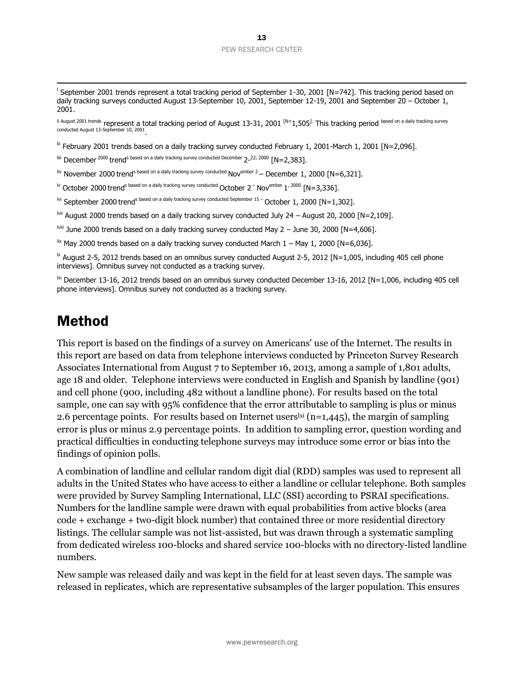l September 2001 trends represent a total tracking period of September 1-30, 2001 [N=742]. This tracking period based on daily tracking surveys conducted August 13-September 10, 2001, September 12-19, 2001 and September 20 - October 1, 2001.

li August 2001 trends represent a total tracking period of August 13-31, 2001 <sup>[N=</sup>1,505<sup>].</sup> This tracking period <sup>based on a daily tracking survey<br>conducted August 13-September 10, 2001<sub>.</sub></sup>

lii February 2001 trends based on a daily tracking survey conducted February 1, 2001-March 1, 2001 [N=2,096].

 $^{\text{\tiny{Iiii}}}$  December  $^{2000}$  trend<sup>s based on a daily tracking survey conducted December 2-<sup>22, 2000</sup> [N=2,383].</sup>

liv November 2000 trend<sup>s based on a daily tracking survey conducted Nov<sup>ember 2</sup> – December 1, 2000 [N=6,321].</sup>

<sup>lv</sup> October 2000 trend<sup>s based on a daily tracking survey conducted October 2<sup>-</sup> Nov<sup>ember</sup> 1<sup>, 2000</sup> [N=3,336].</sup>

lvi September 2000 trend<sup>s based on a daily tracking survey conducted September 15 – October 1, 2000 [N=1,302].</sup>

lvii August 2000 trends based on a daily tracking survey conducted July 24 - August 20, 2000 [N=2,109].

lviii June 2000 trends based on a daily tracking survey conducted May 2 – June 30, 2000 [N=4,606].

 $\frac{1}{x}$  May 2000 trends based on a daily tracking survey conducted March 1 – May 1, 2000 [N=6,036].

 $\mathrm{M}$  August 2-5, 2012 trends based on an omnibus survey conducted August 2-5, 2012 [N=1,005, including 405 cell phone interviews]. Omnibus survey not conducted as a tracking survey.

 $\frac{1}{2}$  December 13-16, 2012 trends based on an omnibus survey conducted December 13-16, 2012 [N=1,006, including 405 cell phone interviews]. Omnibus survey not conducted as a tracking survey.

# Method

 $\overline{a}$ 

This report is based on the findings of a survey on Americans' use of the Internet. The results in this report are based on data from telephone interviews conducted by Princeton Survey Research Associates International from August 7 to September 16, 2013, among a sample of 1,801 adults, age 18 and older. Telephone interviews were conducted in English and Spanish by landline (901) and cell phone (900, including 482 without a landline phone). For results based on the total sample, one can say with 95% confidence that the error attributable to sampling is plus or minus 2.6 percentage points. For results based on Internet users<sup> $\rm{ki}$ </sup> (n=1,445), the margin of sampling error is plus or minus 2.9 percentage points. In addition to sampling error, question wording and practical difficulties in conducting telephone surveys may introduce some error or bias into the findings of opinion polls.

A combination of landline and cellular random digit dial (RDD) samples was used to represent all adults in the United States who have access to either a landline or cellular telephone. Both samples were provided by Survey Sampling International, LLC (SSI) according to PSRAI specifications. Numbers for the landline sample were drawn with equal probabilities from active blocks (area code + exchange + two-digit block number) that contained three or more residential directory listings. The cellular sample was not list-assisted, but was drawn through a systematic sampling from dedicated wireless 100-blocks and shared service 100-blocks with no directory-listed landline numbers.

New sample was released daily and was kept in the field for at least seven days. The sample was released in replicates, which are representative subsamples of the larger population. This ensures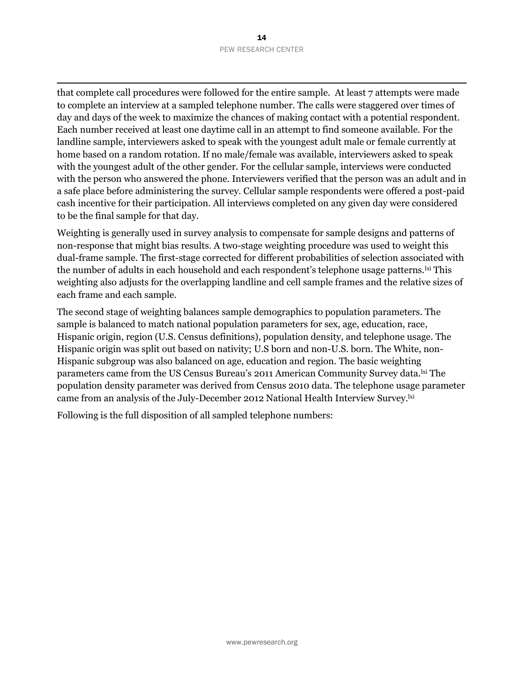$\overline{a}$ that complete call procedures were followed for the entire sample. At least 7 attempts were made to complete an interview at a sampled telephone number. The calls were staggered over times of day and days of the week to maximize the chances of making contact with a potential respondent. Each number received at least one daytime call in an attempt to find someone available. For the landline sample, interviewers asked to speak with the youngest adult male or female currently at home based on a random rotation. If no male/female was available, interviewers asked to speak with the youngest adult of the other gender. For the cellular sample, interviews were conducted with the person who answered the phone. Interviewers verified that the person was an adult and in a safe place before administering the survey. Cellular sample respondents were offered a post-paid cash incentive for their participation. All interviews completed on any given day were considered to be the final sample for that day.

Weighting is generally used in survey analysis to compensate for sample designs and patterns of non-response that might bias results. A two-stage weighting procedure was used to weight this dual-frame sample. The first-stage corrected for different probabilities of selection associated with the number of adults in each household and each respondent's telephone usage patterns.<sup>|xi</sup> This weighting also adjusts for the overlapping landline and cell sample frames and the relative sizes of each frame and each sample.

The second stage of weighting balances sample demographics to population parameters. The sample is balanced to match national population parameters for sex, age, education, race, Hispanic origin, region (U.S. Census definitions), population density, and telephone usage. The Hispanic origin was split out based on nativity; U.S born and non-U.S. born. The White, non-Hispanic subgroup was also balanced on age, education and region. The basic weighting parameters came from the US Census Bureau's 2011 American Community Survey data.<sup>1xi</sup> The population density parameter was derived from Census 2010 data. The telephone usage parameter came from an analysis of the July-December 2012 National Health Interview Survey.<sup>lxi</sup>

Following is the full disposition of all sampled telephone numbers: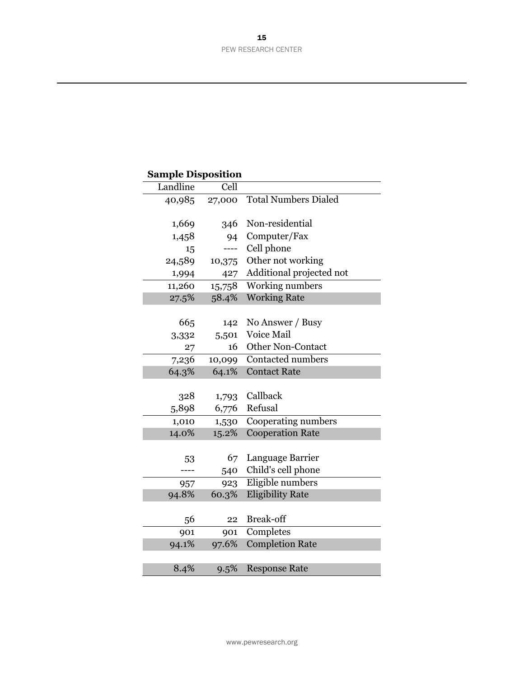| <b>Sample Disposition</b> |        |                             |
|---------------------------|--------|-----------------------------|
| Landline                  | Cell   |                             |
| 40,985                    | 27,000 | <b>Total Numbers Dialed</b> |
| 1,669                     | 346    | Non-residential             |
| 1,458                     | 94     | Computer/Fax                |
| 15                        |        | Cell phone                  |
| 24,589                    | 10,375 | Other not working           |
| 1,994                     | 427    | Additional projected not    |
| 11,260                    | 15,758 | <b>Working numbers</b>      |
| 27.5%                     | 58.4%  | <b>Working Rate</b>         |
|                           |        |                             |
| 665                       | 142    | No Answer / Busy            |
| 3,332                     | 5,501  | Voice Mail                  |
| 27                        | 16     | <b>Other Non-Contact</b>    |
| 7,236                     | 10,099 | <b>Contacted numbers</b>    |
| 64.3%                     | 64.1%  | <b>Contact Rate</b>         |
|                           |        |                             |
| 328                       | 1,793  | Callback                    |
| 5,898                     | 6,776  | Refusal                     |
| 1,010                     | 1,530  | Cooperating numbers         |
| 14.0%                     | 15.2%  | <b>Cooperation Rate</b>     |
|                           |        |                             |
| 53                        | 67     | Language Barrier            |
|                           | 540    | Child's cell phone          |
| 957                       | 923    | Eligible numbers            |
| 94.8%                     | 60.3%  | <b>Eligibility Rate</b>     |
|                           |        |                             |
| 56                        | 22     | <b>Break-off</b>            |
| 901                       | 901    | Completes                   |
| 94.1%                     | 97.6%  | <b>Completion Rate</b>      |
|                           |        |                             |
| 8.4%                      | 9.5%   | <b>Response Rate</b>        |